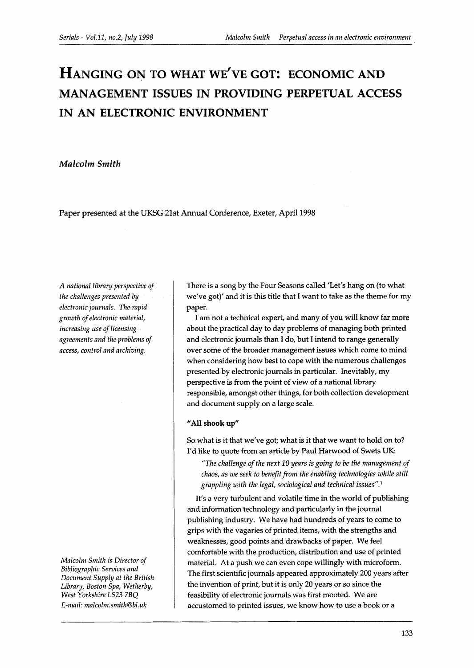# **HANGING ON TO WHAT WE'VE GOT: ECONOMIC AND MANAGEMENT ISSUES IN PROVIDING PERPETUAL ACCESS IN AN ELECTRONIC ENVIRONMENT**

### *Malcolm Smith*

Paper presented at the UKSG 21st Annual Conference, Exeter, April 1998

*A national library perspective of the challenges presented by electronic journals. The rapid growth of electronic material, increasing use of licensing agreements and the problems of access, control and archiving.* 

*Malcolm Smith is Director of Bibliographic Services and Document Supply at the British Libra ry, Boston Spa, Wetherby, West Yorkshire LS23 7BQ E-mail: malcolm.smith@bl.uk* 

There is a song by the Four Seasons called 'Let's hang on (to what we've got)' and it is this title that I want to take as the theme for my paper.

I am not a technical expert, and many of you will know far more about the practical day to day problems of managing both printed and electronic journals than I do, but I intend to range generally over some of the broader management issues which come to mind when considering how best to cope with the numerous challenges presented by electronic journals in particular. Inevitably, my perspective is from the point of view of a national library responsible, amongst other things, for both collection development and document supply on a large scale.

#### **"All shook up"**

So what is it that we've got; what is it that we want to hold on to? I'd like to quote from an article by Paul Harwood of Swets UK:

*"The challenge of the next 10 years is going to be the management of chaos, as we seek to benefit from the enabling technologies while still grappling with the legal, sociological and technical issues".'* 

It's a very turbulent and volatile time in the world of publishing and information technology and particularly in the journal publishing industry. We have had hundreds of years to come to grips with the vagaries of printed items, with the strengths and weaknesses, good points and drawbacks of paper. We feel comfortable with the production, distribution and use of printed material. At a push we can even cope willingly with microform. The first scientific journals appeared approximately 200 years after the invention of print, but it is only 20 years or so since the feasibility of electronic journals was first mooted. We are accustomed to printed issues, we know how to use a book or a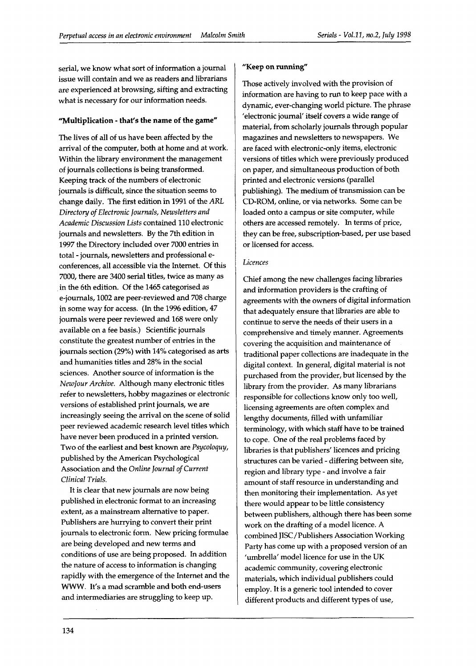serial, we know what sort of information a journal issue will contain and we as readers and librarians are experienced at browsing, sifting and extracting what is necessary for our information needs.

#### "Multiplication - that's the name **of** the game"

The lives of all of us have been affected by the arrival of the computer, both at home and at work. Within the library environment the management of journals collections is being transformed. Keeping track of the numbers of electronic journals is difficult, since the situation seems to change daily. The first edition in 1991 of the *ARL Directo* y *of Electronic Journals, Newsletters and Acadenlic Discussion Lists* contained 110 electronic journals and newsletters. By the 7th edition in 1997 the Directory included over 7000 entries in total -journals, newsletters and professional econferences, all accessible via the Internet. Of this 7000, there are 3400 serial titles, twice as many as in the 6th edition. Of the 1465 categorised as e-journals, 1002 are peer-reviewed and 708 charge in some way for access. (In the 1996 edition, 47 journals were peer reviewed and 168 were only available on a fee basis.) Scientific journals constitute the greatest number of entries in the journals section (29%) with 14% categorised as arts and humanities titles and 28% in the social sciences. Another source of information is the *Newlour Archive.* Although many electronic titles refer to newsletters, hobby magazines or electronic versions of established print journals, we are increasingly seeing the arrival on the scene of solid peer reviewed academic research level titles which have never been produced in a printed version. Two of the earliest and best known are *Psycoloquy,*  published by the American Psychological Association and the *Online Journal of Current Clinical Trials.* 

It is clear that new journals are now being published in electronic format to an increasing extent, as a mainstream alternative to paper. Publishers are hurrying to convert their print journals to electronic form. New pricing formulae are being developed and new terms and conditions of use are being proposed. In addition the nature of access to information is changing rapidly with the emergence of the Internet and the **WWW.** It's a mad scramble and both end-users and intermediaries are struggling to keep up.

# **"Keep** on running"

Those actively involved with the provision of information are having to run to keep pace with a dynamic, ever-changing world picture. The phrase 'electronic journal' itself covers a wide range of material, from scholarly journals through popular magazines and newsletters to newspapers. We are faced with electronic-only items, electronic versions of titles which were previously produced on paper, and simultaneous production of both printed and electronic versions (parallel publishing). The medium of transmission can be CD-ROM, online, or via networks. Some can be loaded onto a campus or site computer, while others are accessed remotely. In terms of price, they can be free, subscription-based, per use based or licensed for access.

#### *Licences*

Chief among the new challenges facing libraries and information providers is the crafting of agreements with the owners of digital information that adequately ensure that libraries are able to continue to serve the needs of their users in a comprehensive and timely manner. Agreements covering the acquisition and maintenance of traditional paper collections are inadequate in the digital context. In general, digital material is not purchased from the provider, but licensed by the library from the provider. As many librarians responsible for collections know only too well, licensing agreements are often complex and lengthy documents, filled with unfamiliar terminology, with which staff have to be trained to cope. One of the real problems faced by libraries is that publishers' licences and pricing structures can be varied - differing between site, region and library type - and involve a fair amount of staff resource in understanding and then monitoring their implementation. As yet there would appear to be little consistency between publishers, although there has been some work on the drafting of a model licence. A combined JISC/Publishers Association Working Party has come up with a proposed version of an 'umbrella' model licence for use in the UK academic community, covering electronic materials, which individual publishers could employ. It is a generic tool intended to cover different products and different types of use,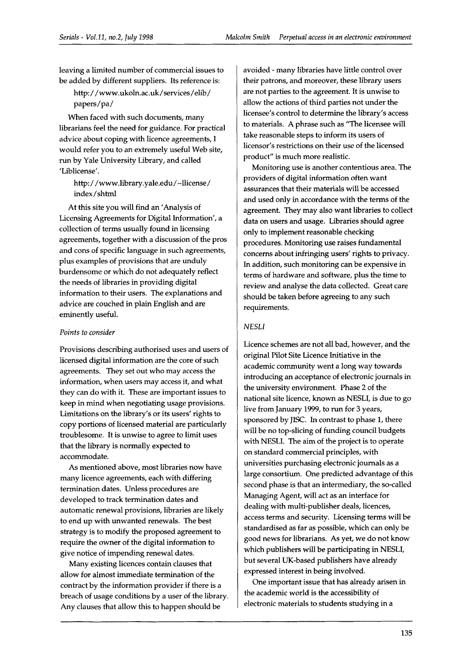leaving a limited number of commercial issues to be added by different suppliers. Its reference is:

http: / /www.ukoln.ac.uk/services/elib/ papers/ pa/

When faced with such documents, many librarians feel the need for guidance. For practical advice about coping with licence agreements, I would refer you to an extremely useful Web site, run by Yale University Library, and called 'Liblicense'.

http: / /www.library.yale.edu/-llicense/ index/shtml

At this site you will find an 'Analysis of Licensing Agreements for Digital Information', a collection of terms usually found in licensing agreements, together with a discussion of the pros and cons of specific language in such agreements, plus examples of provisions that are unduly burdensome or which do not adequately reflect the needs of libraries in providing digital information to their users. The explanations and advice are couched in plain English and are eminently useful.

#### *Points to consider*

Provisions describing authorised uses and users of licensed digital information are the core of such agreements. They set out who may access the information, when users may access it, and what they can do with it. These are important issues to keep in mind when negotiating usage provisions. Limitations on the library's or its users' rights to copy portions of licensed material are particularly troublesome. It is unwise to agree to limit uses that the library is normally expected to accommodate.

As mentioned above, most libraries now have many licence agreements, each with differing termination dates. Unless procedures are developed to track termination dates and automatic renewal provisions, libraries are likely to end up with unwanted renewals. The best strategy is to modify the proposed agreement to require the owner of the digital information to give notice of impending renewal dates.

Many existing licences contain clauses that allow for almost immediate termination of the contract by the information provider if there is a breach of usage conditions by a user of the library. Any clauses that allow this to happen should be

avoided - many libraries have little control over their patrons, and moreover, these library users are not parties to the agreement. It is unwise to allow the actions of third parties not under the licensee's control to determine the library's access to materials. A phrase such as "The licensee will take reasonable steps to inform its users of licensor's restrictions on their use of the licensed product" is much more realistic.

Monitoring use is another contentious area. The providers of digital information often want assurances that their materials will be accessed and used only in accordance with the terms of the agreement. They may also want libraries to collect data on users and usage. Libraries should agree only to implement reasonable checking procedures. Monitoring use raises fundamental concerns about infringing users' rights to privacy. In addition, such monitoring can be expensive in terms of hardware and software, plus the time to review and analyse the data collected. Great care should be taken before agreeing to any such requirements.

## **NESLI**

Licence schemes are not all bad, however, and the original Pilot Site Licence Lnitiative in the academic community went a long way towards introducing an acceptance of electronic journals in the university environment. Phase 2 of the national site licence, known as NESLI, is due to go live from January 1999, to run for **3** years, sponsored by JISC. In contrast to phase **1,** there will be no top-slicing of funding council budgets with NESLI. The aim of the project is to operate on standard commercial principles, with universities purchasing electronic journals as a large consortium. One predicted advantage of this second phase is that an intermediary, the so-called Managing Agent, will act as an interface for dealing with multi-publisher deals, licences, access terms and security. Licensing terms will be standardised as far as possible, which can only be good news for librarians. As yet, we do not know which publishers will be participating in NESLI, but several UK-based publishers have already expressed interest in being involved.

One important issue that has already arisen in the academic world is the accessibility of electronic materials to students studying in a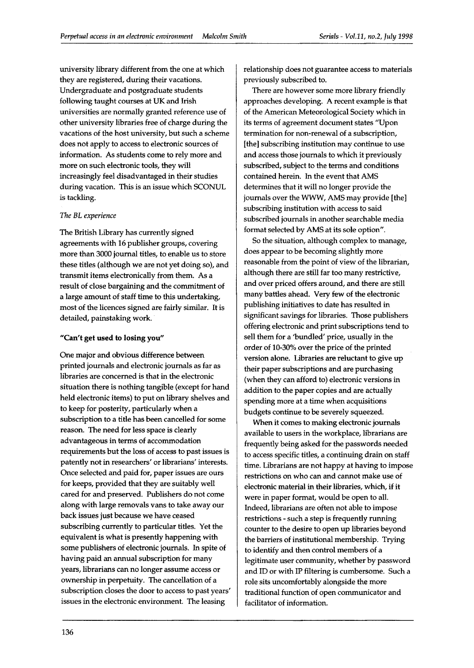university library different from the one at which they are registered, during their vacations. Undergraduate and postgraduate students following taught courses at UK and Irish universities are normally granted reference use of other university libraries free of charge during the vacations of the host university, but such a scheme does not apply to access to electronic sources of information. As students come to rely more and more on such electronic tools, they will increasingly feel disadvantaged in their studies during vacation. This is an issue which SCONUL is tackling.

#### *The BL experience*

The British Library has currently signed agreements with 16 publisher groups, covering more than 3000 journal titles, to enable us to store these titles (although we are not yet doing so), and transmit items electronically from them. As a result of close bargaining and the commitment of a large amount of staff time to this undertaking, most of the licences signed are fairly similar. It is detailed, painstaking work.

## **"Can't get used to losing you"**

One major and obvious difference between printed journals and electronic journals as far as libraries are concerned is that in the electronic situation there is nothing tangible (except for hand held electronic items) to put on library shelves and to keep for posterity, particularly when a subscription to a title has been cancelled for some reason. The need for less space is clearly advantageous in terms of accommodation requirements but the loss of access to past issues is patently not in researchers' or librarians' interests. Once selected and paid for, paper issues are ours for keeps, provided that they are suitably well cared for and preserved. Publishers do not come along with large removals vans to take away our back issues just because we have ceased subscribing currently to particular titles. Yet the equivalent is what is presently happening with some publishers of electronic journals. In spite of having paid an annual subscription for many years, librarians can no longer assume access or ownership in perpetuity. The cancellation of a subscription closes the door to access to past years' issues in the electronic environment. The leasing

relationship does not guarantee access to materials previously subscribed to.

There are however some more library friendly approaches developing. **A** recent example is that of the American Meteorological Society which in its terms of agreement document states "Upon termination for non-renewal of a subscription, [the] subscribing institution may continue to use and access those journals to which it previously subscribed, subject to the terms and conditions contained herein. In the event that AMS determines that it will no longer provide the journals over the WWW, AMS may provide [the] subscribing institution with access to said subscribed journals in another searchable media format selected by AMS at its sole option".

So the situation, although complex to manage, does appear to be becoming slightly more reasonable from the point of view of the librarian, although there are still far too many restrictive, and over priced offers around, and there are still many battles ahead. Very few of the electronic publishing initiatives to date has resulted in significant savings for libraries. Those publishers offering electronic and print subscriptions tend to sell them for a 'bundled' price, usually in the order of 10-30% over the price of the printed version alone. Libraries are reluctant to give up their paper subscriptions and are purchasing (when they can afford to) electronic versions in addition to the paper copies and are actually spending more at a time when acquisitions budgets continue to be severely squeezed.

When it comes to making electronic journals available to users in the workplace, librarians are frequently being asked for the passwords needed to access specific titles, a continuing drain on staff time. Librarians are not happy at having to impose restrictions on who can and cannot make use of electronic material in their libraries, which, if it were in paper format, would be open to all. Indeed, librarians are often not able to impose restrictions - such a step is frequently running counter to the desire to open up libraries beyond the barriers of institutional membership. Trying to identify and then control members of a legitimate user community, whether by password and ID or with IP filtering is cumbersome. Such a role sits uncomfortably alongside the more traditional function of open communicator and facilitator of information.